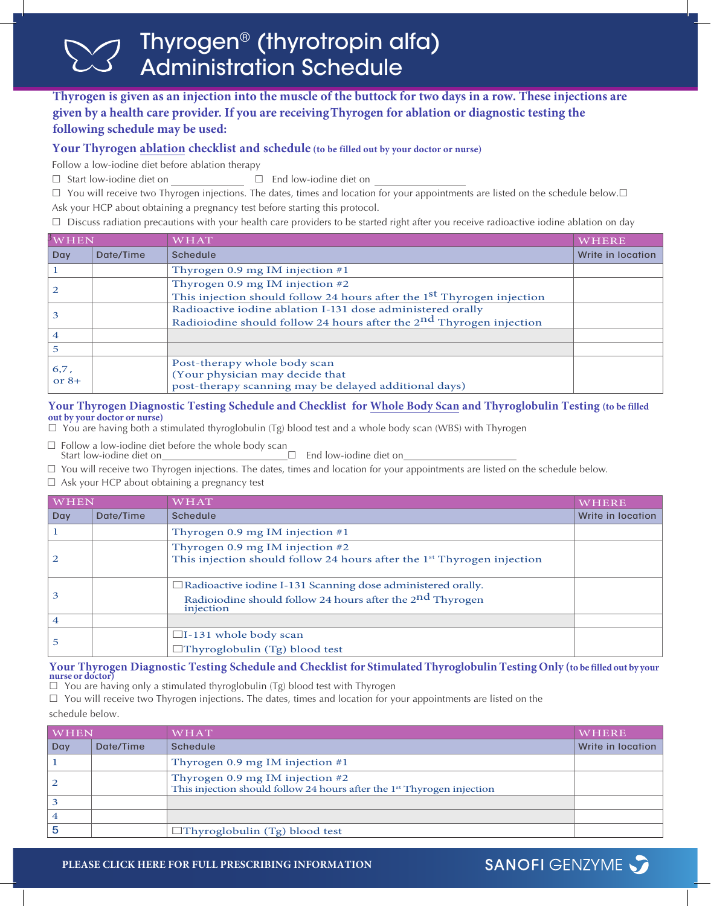# Thyrogen® (thyrotropin alfa) Administration Schedule

# **Thyrogen is given as an injection into the muscle of the buttock for two days in a row. These injections are given by a health care provider. If you are receiving Thyrogen for ablation or diagnostic testing the following schedule may be used:**

# **Your Thyrogen ablation checklist and schedule (to be filled out by your doctor or nurse)**

Follow a low-iodine diet before ablation therapy

 $\Box$  Start low-iodine diet on  $\Box$  End low-iodine diet on

 $\Box$  You will receive two Thyrogen injections. The dates, times and location for your appointments are listed on the schedule below. $\Box$ Ask your HCP about obtaining a pregnancy test before starting this protocol.

 $\Box$  Discuss radiation precautions with your health care providers to be started right after you receive radioactive iodine ablation on day

| $\frac{3}{W}$ HEN |           | WHAT                                                                                                                                | WHERE             |
|-------------------|-----------|-------------------------------------------------------------------------------------------------------------------------------------|-------------------|
| Day               | Date/Time | <b>Schedule</b>                                                                                                                     | Write in location |
|                   |           | Thyrogen 0.9 mg IM injection $#1$                                                                                                   |                   |
|                   |           | Thyrogen 0.9 mg IM injection #2<br>This injection should follow 24 hours after the 1 <sup>st</sup> Thyrogen injection               |                   |
|                   |           | Radioactive iodine ablation I-131 dose administered orally<br>Radioiodine should follow 24 hours after the $2nd$ Thyrogen injection |                   |
| $\overline{4}$    |           |                                                                                                                                     |                   |
| -5                |           |                                                                                                                                     |                   |
| 6,7,<br>or $8+$   |           | Post-therapy whole body scan<br>(Your physician may decide that<br>post-therapy scanning may be delayed additional days)            |                   |

# **Your Thyrogen Diagnostic Testing Schedule and Checklist for Whole Body Scan and Thyroglobulin Testing (to be filled out by your doctor or nurse)**

 $\Box$  You are having both a stimulated thyroglobulin (Tg) blood test and a whole body scan (WBS) with Thyrogen

 $\square$  Follow a low-iodine diet before the whole body scan Start low-iodine diet on

 $\Box$  End low-iodine diet on

 $\Box$  You will receive two Thyrogen injections. The dates, times and location for your appointments are listed on the schedule below.

 $\Box$  Ask your HCP about obtaining a pregnancy test

| <b>WHEN</b>    |           | <b>WHAT</b>                                                                                                                                              | WHERE             |
|----------------|-----------|----------------------------------------------------------------------------------------------------------------------------------------------------------|-------------------|
| Day            | Date/Time | <b>Schedule</b>                                                                                                                                          | Write in location |
|                |           | Thyrogen 0.9 mg IM injection $#1$                                                                                                                        |                   |
| $\overline{2}$ |           | Thyrogen 0.9 mg IM injection #2<br>This injection should follow 24 hours after the 1 <sup>st</sup> Thyrogen injection                                    |                   |
| 3              |           | $\Box$ Radioactive iodine I-131 Scanning dose administered orally.<br>Radioiodine should follow 24 hours after the 2 <sup>nd</sup> Thyrogen<br>injection |                   |
| $\overline{4}$ |           |                                                                                                                                                          |                   |
| 5              |           | $\Box$ I-131 whole body scan<br>$\Box$ Thyroglobulin (Tg) blood test                                                                                     |                   |

### **Your Thyrogen Diagnostic Testing Schedule and Checklist for Stimulated Thyroglobulin Testing Only (to be filled out by your nurse or doctor)**

 $\Box$  You are having only a stimulated thyroglobulin (Tg) blood test with Thyrogen

 $\Box$  You will receive two Thyrogen injections. The dates, times and location for your appointments are listed on the

schedule below.

| WHEN |           | WHAT                                                                                                                    | WHERE             |
|------|-----------|-------------------------------------------------------------------------------------------------------------------------|-------------------|
| Day  | Date/Time | Schedule                                                                                                                | Write in location |
|      |           | Thyrogen 0.9 mg IM injection $#1$                                                                                       |                   |
| 2    |           | Thyrogen 0.9 mg IM injection $#2$<br>This injection should follow 24 hours after the 1 <sup>st</sup> Thyrogen injection |                   |
| 3    |           |                                                                                                                         |                   |
| 4    |           |                                                                                                                         |                   |
| 5    |           | $\Box$ Thyroglobulin (Tg) blood test                                                                                    |                   |

**SANOFI GENZYME**